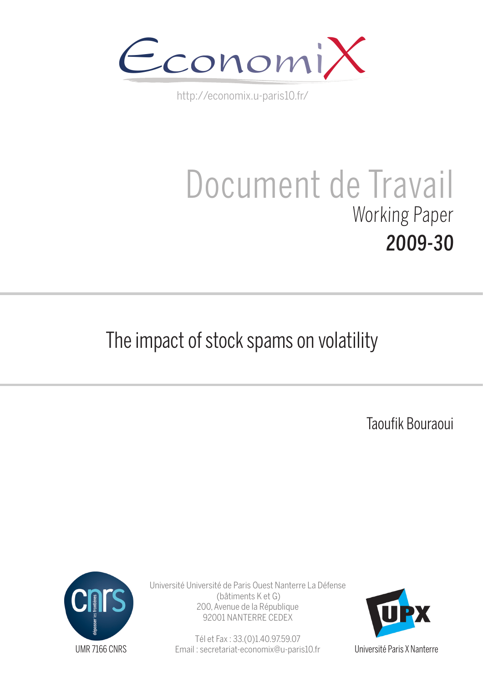

http://economix.u-paris10.fr/

# Document de Travail Working Paper 2009-30

## The impact of stock spams on volatility

Taoufik Bouraoui



Université Université de Paris Ouest Nanterre La Défense (bâtiments K et G) 200, Avenue de la République 92001 NANTERRE CEDEX

> Tél et Fax : 33.(0)1.40.97.59.07 Email : secretariat-economix@u-paris10.fr



Université Paris X Nanterre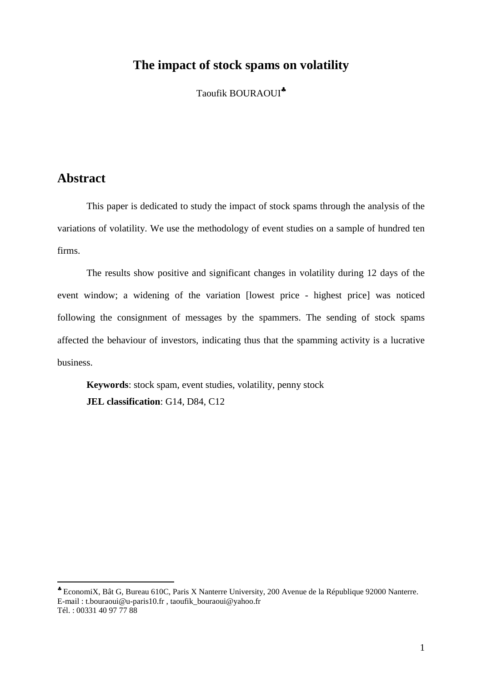## **The impact of stock spams on volatility**

Taoufik BOURAOUI<sup>\*</sup>

## **Abstract**

 $\overline{a}$ 

This paper is dedicated to study the impact of stock spams through the analysis of the variations of volatility. We use the methodology of event studies on a sample of hundred ten firms.

The results show positive and significant changes in volatility during 12 days of the event window; a widening of the variation [lowest price - highest price] was noticed following the consignment of messages by the spammers. The sending of stock spams affected the behaviour of investors, indicating thus that the spamming activity is a lucrative business.

**Keywords**: stock spam, event studies, volatility, penny stock **JEL classification**: G14, D84, C12

<sup>♣</sup> EconomiX, Bât G, Bureau 610C, Paris X Nanterre University, 200 Avenue de la République 92000 Nanterre. E-mail : t.bouraoui@u-paris10.fr , taoufik\_bouraoui@yahoo.fr Tél. : 00331 40 97 77 88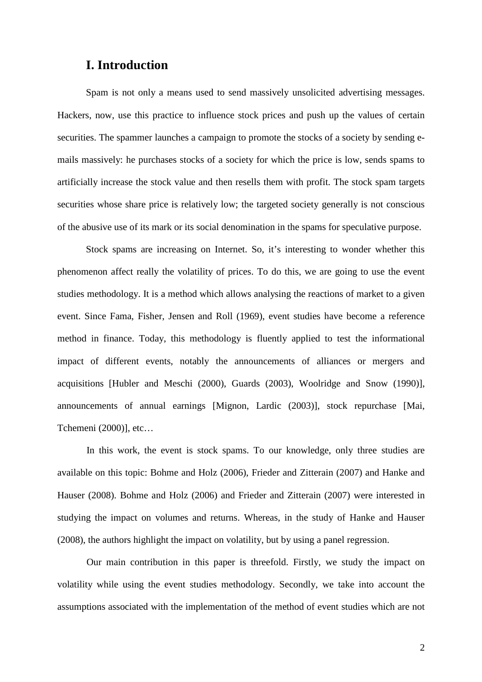## **I. Introduction**

Spam is not only a means used to send massively unsolicited advertising messages. Hackers, now, use this practice to influence stock prices and push up the values of certain securities. The spammer launches a campaign to promote the stocks of a society by sending emails massively: he purchases stocks of a society for which the price is low, sends spams to artificially increase the stock value and then resells them with profit. The stock spam targets securities whose share price is relatively low; the targeted society generally is not conscious of the abusive use of its mark or its social denomination in the spams for speculative purpose.

Stock spams are increasing on Internet. So, it's interesting to wonder whether this phenomenon affect really the volatility of prices. To do this, we are going to use the event studies methodology. It is a method which allows analysing the reactions of market to a given event. Since Fama, Fisher, Jensen and Roll (1969), event studies have become a reference method in finance. Today, this methodology is fluently applied to test the informational impact of different events, notably the announcements of alliances or mergers and acquisitions [Hubler and Meschi (2000), Guards (2003), Woolridge and Snow (1990)], announcements of annual earnings [Mignon, Lardic (2003)], stock repurchase [Mai, Tchemeni (2000)], etc…

In this work, the event is stock spams. To our knowledge, only three studies are available on this topic: Bohme and Holz (2006), Frieder and Zitterain (2007) and Hanke and Hauser (2008). Bohme and Holz (2006) and Frieder and Zitterain (2007) were interested in studying the impact on volumes and returns. Whereas, in the study of Hanke and Hauser (2008), the authors highlight the impact on volatility, but by using a panel regression.

Our main contribution in this paper is threefold. Firstly, we study the impact on volatility while using the event studies methodology. Secondly, we take into account the assumptions associated with the implementation of the method of event studies which are not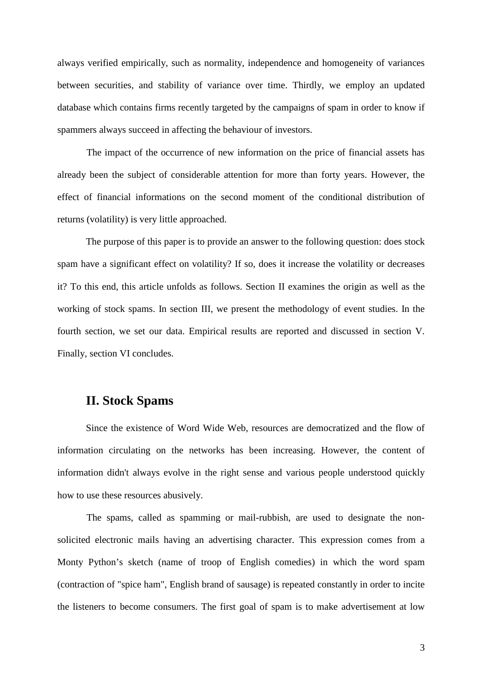always verified empirically, such as normality, independence and homogeneity of variances between securities, and stability of variance over time. Thirdly, we employ an updated database which contains firms recently targeted by the campaigns of spam in order to know if spammers always succeed in affecting the behaviour of investors.

The impact of the occurrence of new information on the price of financial assets has already been the subject of considerable attention for more than forty years. However, the effect of financial informations on the second moment of the conditional distribution of returns (volatility) is very little approached.

The purpose of this paper is to provide an answer to the following question: does stock spam have a significant effect on volatility? If so, does it increase the volatility or decreases it? To this end, this article unfolds as follows. Section II examines the origin as well as the working of stock spams. In section III, we present the methodology of event studies. In the fourth section, we set our data. Empirical results are reported and discussed in section V. Finally, section VI concludes.

## **II. Stock Spams**

Since the existence of Word Wide Web, resources are democratized and the flow of information circulating on the networks has been increasing. However, the content of information didn't always evolve in the right sense and various people understood quickly how to use these resources abusively.

The spams, called as spamming or mail-rubbish, are used to designate the nonsolicited electronic mails having an advertising character. This expression comes from a Monty Python's sketch (name of troop of English comedies) in which the word spam (contraction of "spice ham", English brand of sausage) is repeated constantly in order to incite the listeners to become consumers. The first goal of spam is to make advertisement at low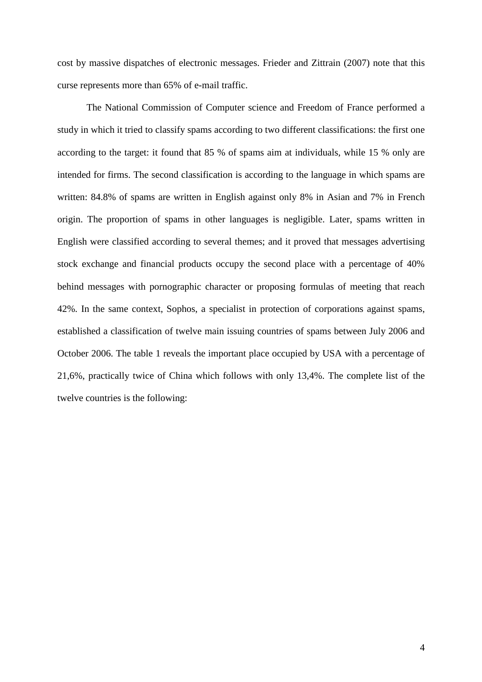cost by massive dispatches of electronic messages. Frieder and Zittrain (2007) note that this curse represents more than 65% of e-mail traffic.

The National Commission of Computer science and Freedom of France performed a study in which it tried to classify spams according to two different classifications: the first one according to the target: it found that 85 % of spams aim at individuals, while 15 % only are intended for firms. The second classification is according to the language in which spams are written: 84.8% of spams are written in English against only 8% in Asian and 7% in French origin. The proportion of spams in other languages is negligible. Later, spams written in English were classified according to several themes; and it proved that messages advertising stock exchange and financial products occupy the second place with a percentage of 40% behind messages with pornographic character or proposing formulas of meeting that reach 42%. In the same context, Sophos, a specialist in protection of corporations against spams, established a classification of twelve main issuing countries of spams between July 2006 and October 2006. The table 1 reveals the important place occupied by USA with a percentage of 21,6%, practically twice of China which follows with only 13,4%. The complete list of the twelve countries is the following: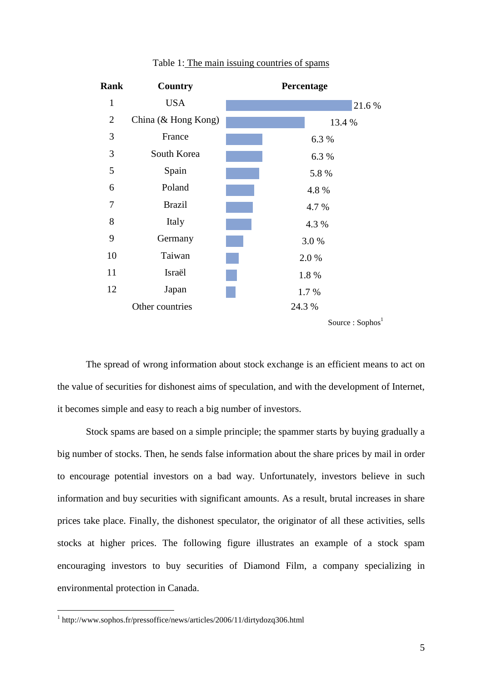| Rank           | Country             | Percentage                   |
|----------------|---------------------|------------------------------|
| $\mathbf{1}$   | <b>USA</b>          | 21.6%                        |
| $\overline{2}$ | China (& Hong Kong) | 13.4 %                       |
| 3              | France              | 6.3 %                        |
| 3              | South Korea         | 6.3 %                        |
| 5              | Spain               | 5.8%                         |
| 6              | Poland              | 4.8%                         |
| 7              | <b>Brazil</b>       | 4.7 %                        |
| 8              | Italy               | 4.3 %                        |
| 9              | Germany             | 3.0%                         |
| 10             | Taiwan              | 2.0%                         |
| 11             | Israël              | 1.8%                         |
| 12             | Japan               | 1.7 %                        |
|                | Other countries     | 24.3 %                       |
|                |                     | Source : Sophos <sup>1</sup> |

#### Table 1: The main issuing countries of spams

The spread of wrong information about stock exchange is an efficient means to act on the value of securities for dishonest aims of speculation, and with the development of Internet, it becomes simple and easy to reach a big number of investors.

Stock spams are based on a simple principle; the spammer starts by buying gradually a big number of stocks. Then, he sends false information about the share prices by mail in order to encourage potential investors on a bad way. Unfortunately, investors believe in such information and buy securities with significant amounts. As a result, brutal increases in share prices take place. Finally, the dishonest speculator, the originator of all these activities, sells stocks at higher prices. The following figure illustrates an example of a stock spam encouraging investors to buy securities of Diamond Film, a company specializing in environmental protection in Canada.

 1 http://www.sophos.fr/pressoffice/news/articles/2006/11/dirtydozq306.html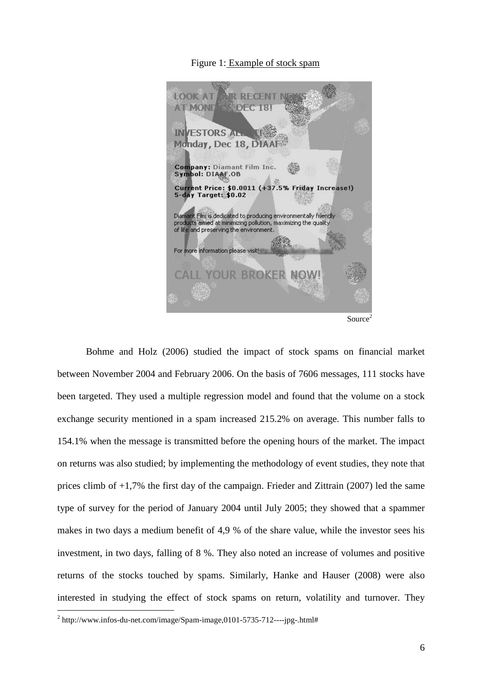#### Figure 1: Example of stock spam



Bohme and Holz (2006) studied the impact of stock spams on financial market between November 2004 and February 2006. On the basis of 7606 messages, 111 stocks have been targeted. They used a multiple regression model and found that the volume on a stock exchange security mentioned in a spam increased 215.2% on average. This number falls to 154.1% when the message is transmitted before the opening hours of the market. The impact on returns was also studied; by implementing the methodology of event studies, they note that prices climb of +1,7% the first day of the campaign. Frieder and Zittrain (2007) led the same type of survey for the period of January 2004 until July 2005; they showed that a spammer makes in two days a medium benefit of 4,9 % of the share value, while the investor sees his investment, in two days, falling of 8 %. They also noted an increase of volumes and positive returns of the stocks touched by spams. Similarly, Hanke and Hauser (2008) were also interested in studying the effect of stock spams on return, volatility and turnover. They

 $\overline{a}$ 

 $2 \text{ http://www.infos-du-net.com/image/Span-image,} 0101-5735-712---jpg-.html#$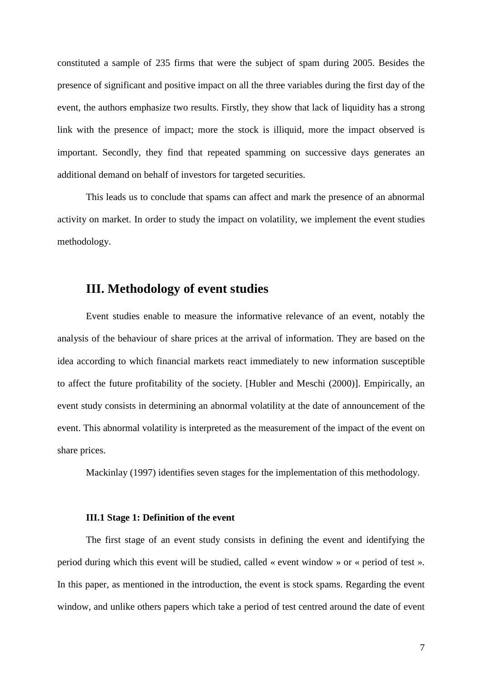constituted a sample of 235 firms that were the subject of spam during 2005. Besides the presence of significant and positive impact on all the three variables during the first day of the event, the authors emphasize two results. Firstly, they show that lack of liquidity has a strong link with the presence of impact; more the stock is illiquid, more the impact observed is important. Secondly, they find that repeated spamming on successive days generates an additional demand on behalf of investors for targeted securities.

This leads us to conclude that spams can affect and mark the presence of an abnormal activity on market. In order to study the impact on volatility, we implement the event studies methodology.

## **III. Methodology of event studies**

Event studies enable to measure the informative relevance of an event, notably the analysis of the behaviour of share prices at the arrival of information. They are based on the idea according to which financial markets react immediately to new information susceptible to affect the future profitability of the society. [Hubler and Meschi (2000)]. Empirically, an event study consists in determining an abnormal volatility at the date of announcement of the event. This abnormal volatility is interpreted as the measurement of the impact of the event on share prices.

Mackinlay (1997) identifies seven stages for the implementation of this methodology.

#### **III.1 Stage 1: Definition of the event**

The first stage of an event study consists in defining the event and identifying the period during which this event will be studied, called « event window » or « period of test ». In this paper, as mentioned in the introduction, the event is stock spams. Regarding the event window, and unlike others papers which take a period of test centred around the date of event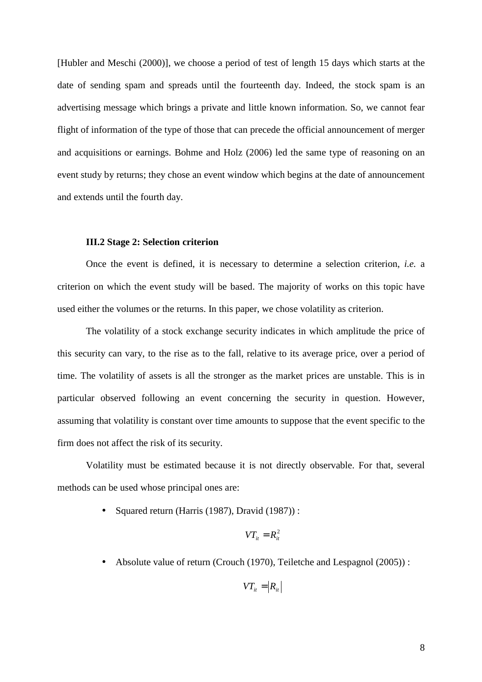[Hubler and Meschi (2000)], we choose a period of test of length 15 days which starts at the date of sending spam and spreads until the fourteenth day. Indeed, the stock spam is an advertising message which brings a private and little known information. So, we cannot fear flight of information of the type of those that can precede the official announcement of merger and acquisitions or earnings. Bohme and Holz (2006) led the same type of reasoning on an event study by returns; they chose an event window which begins at the date of announcement and extends until the fourth day.

#### **III.2 Stage 2: Selection criterion**

Once the event is defined, it is necessary to determine a selection criterion, *i.e.* a criterion on which the event study will be based. The majority of works on this topic have used either the volumes or the returns. In this paper, we chose volatility as criterion.

The volatility of a stock exchange security indicates in which amplitude the price of this security can vary, to the rise as to the fall, relative to its average price, over a period of time. The volatility of assets is all the stronger as the market prices are unstable. This is in particular observed following an event concerning the security in question. However, assuming that volatility is constant over time amounts to suppose that the event specific to the firm does not affect the risk of its security.

Volatility must be estimated because it is not directly observable. For that, several methods can be used whose principal ones are:

• Squared return (Harris (1987), Dravid (1987)) :

$$
VT_{it}=R_{it}^2
$$

• Absolute value of return (Crouch (1970), Teiletche and Lespagnol (2005)) :

$$
VT_{it} = \big| R_{it} \big|
$$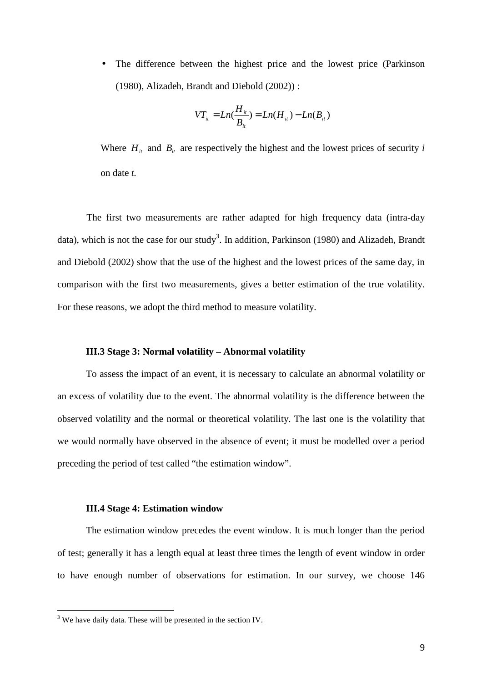The difference between the highest price and the lowest price (Parkinson (1980), Alizadeh, Brandt and Diebold (2002)) :

$$
VT_{it} = Ln(\frac{H_{it}}{B_{it}}) = Ln(H_{it}) - Ln(B_{it})
$$

Where  $H_i$  and  $B_i$  are respectively the highest and the lowest prices of security *i* on date *t.* 

The first two measurements are rather adapted for high frequency data (intra-day data), which is not the case for our study<sup>3</sup>. In addition, Parkinson (1980) and Alizadeh, Brandt and Diebold (2002) show that the use of the highest and the lowest prices of the same day, in comparison with the first two measurements, gives a better estimation of the true volatility. For these reasons, we adopt the third method to measure volatility.

#### **III.3 Stage 3: Normal volatility – Abnormal volatility**

To assess the impact of an event, it is necessary to calculate an abnormal volatility or an excess of volatility due to the event. The abnormal volatility is the difference between the observed volatility and the normal or theoretical volatility. The last one is the volatility that we would normally have observed in the absence of event; it must be modelled over a period preceding the period of test called "the estimation window".

#### **III.4 Stage 4: Estimation window**

The estimation window precedes the event window. It is much longer than the period of test; generally it has a length equal at least three times the length of event window in order to have enough number of observations for estimation. In our survey, we choose 146

<sup>&</sup>lt;sup>3</sup> We have daily data. These will be presented in the section IV.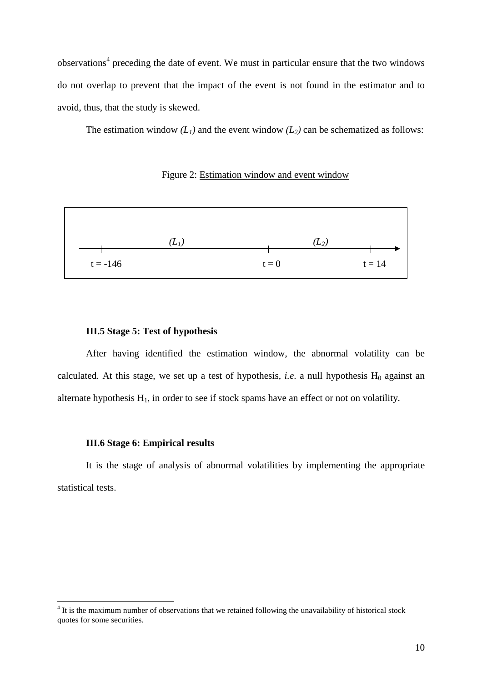observations<sup>4</sup> preceding the date of event. We must in particular ensure that the two windows do not overlap to prevent that the impact of the event is not found in the estimator and to avoid, thus, that the study is skewed.

The estimation window  $(L_1)$  and the event window  $(L_2)$  can be schematized as follows:

#### Figure 2: Estimation window and event window



#### **III.5 Stage 5: Test of hypothesis**

After having identified the estimation window, the abnormal volatility can be calculated. At this stage, we set up a test of hypothesis, *i.e.* a null hypothesis  $H_0$  against an alternate hypothesis  $H_1$ , in order to see if stock spams have an effect or not on volatility.

#### **III.6 Stage 6: Empirical results**

 $\overline{a}$ 

It is the stage of analysis of abnormal volatilities by implementing the appropriate statistical tests.

<sup>&</sup>lt;sup>4</sup> It is the maximum number of observations that we retained following the unavailability of historical stock quotes for some securities.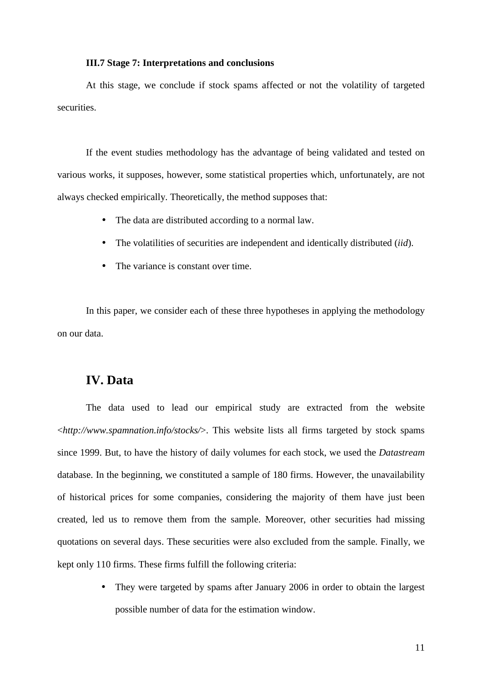#### **III.7 Stage 7: Interpretations and conclusions**

At this stage, we conclude if stock spams affected or not the volatility of targeted securities.

If the event studies methodology has the advantage of being validated and tested on various works, it supposes, however, some statistical properties which, unfortunately, are not always checked empirically. Theoretically, the method supposes that:

- The data are distributed according to a normal law.
- The volatilities of securities are independent and identically distributed (*iid*).
- The variance is constant over time.

In this paper, we consider each of these three hypotheses in applying the methodology on our data.

## **IV. Data**

The data used to lead our empirical study are extracted from the website <*http://www.spamnation.info/stocks/*>. This website lists all firms targeted by stock spams since 1999. But, to have the history of daily volumes for each stock, we used the *Datastream* database. In the beginning, we constituted a sample of 180 firms. However, the unavailability of historical prices for some companies, considering the majority of them have just been created, led us to remove them from the sample. Moreover, other securities had missing quotations on several days. These securities were also excluded from the sample. Finally, we kept only 110 firms. These firms fulfill the following criteria:

> • They were targeted by spams after January 2006 in order to obtain the largest possible number of data for the estimation window.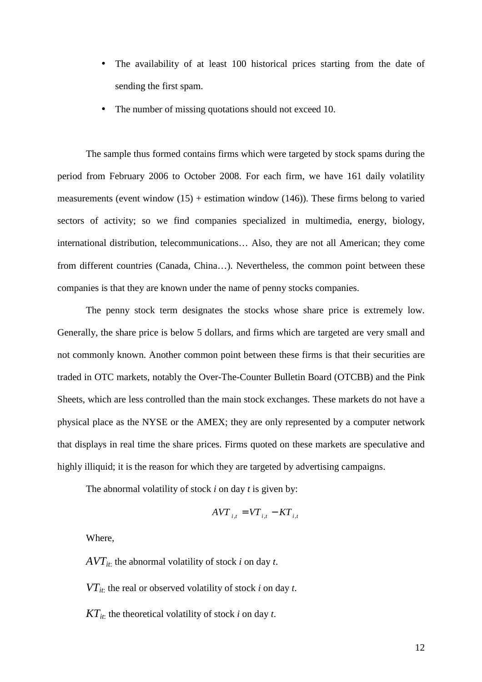- The availability of at least 100 historical prices starting from the date of sending the first spam.
- The number of missing quotations should not exceed 10.

The sample thus formed contains firms which were targeted by stock spams during the period from February 2006 to October 2008. For each firm, we have 161 daily volatility measurements (event window  $(15)$  + estimation window  $(146)$ ). These firms belong to varied sectors of activity; so we find companies specialized in multimedia, energy, biology, international distribution, telecommunications… Also, they are not all American; they come from different countries (Canada, China…). Nevertheless, the common point between these companies is that they are known under the name of penny stocks companies.

The penny stock term designates the stocks whose share price is extremely low. Generally, the share price is below 5 dollars, and firms which are targeted are very small and not commonly known. Another common point between these firms is that their securities are traded in OTC markets, notably the Over-The-Counter Bulletin Board (OTCBB) and the Pink Sheets, which are less controlled than the main stock exchanges. These markets do not have a physical place as the NYSE or the AMEX; they are only represented by a computer network that displays in real time the share prices. Firms quoted on these markets are speculative and highly illiquid; it is the reason for which they are targeted by advertising campaigns.

The abnormal volatility of stock *i* on day *t* is given by:

$$
AVT_{i,t} = VT_{i,t} - KT_{i,t}
$$

Where,

*AVTit*: the abnormal volatility of stock *i* on day *t*.

*VTit*: the real or observed volatility of stock *i* on day *t*.

 $KT_{it}$ : the theoretical volatility of stock *i* on day *t*.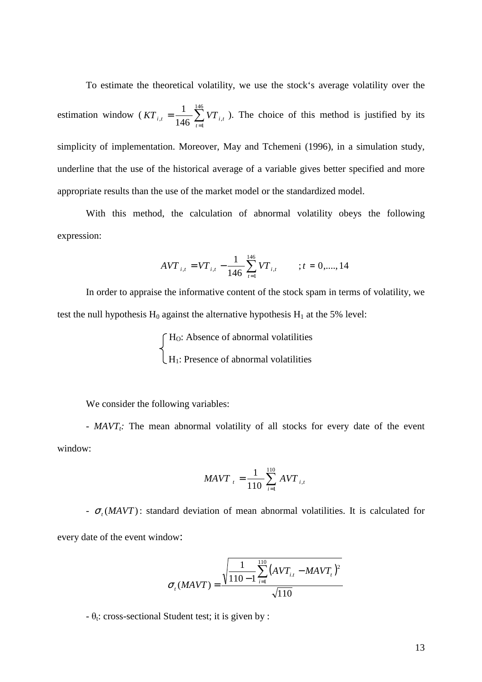To estimate the theoretical volatility, we use the stock's average volatility over the estimation window ( $KT_{i,t} = \frac{1}{146}\sum_{i=1}^{16}$ = = 146 1  $n^{t}$  – 146  $\sum_{t=1}^{t}$   $\sum_{i}$ 1 *t*  $KT_{i,t} = \frac{1}{146} \sum_{i} VT_{i,t}$ . The choice of this method is justified by its simplicity of implementation. Moreover, May and Tchemeni (1996), in a simulation study, underline that the use of the historical average of a variable gives better specified and more appropriate results than the use of the market model or the standardized model.

With this method, the calculation of abnormal volatility obeys the following expression:

$$
AVT_{i,t} = VT_{i,t} - \frac{1}{146} \sum_{t=1}^{146} VT_{i,t} \qquad ; t = 0, \dots, 14
$$

In order to appraise the informative content of the stock spam in terms of volatility, we test the null hypothesis  $H_0$  against the alternative hypothesis  $H_1$  at the 5% level:

 $\int H_0$ : Absence of abnormal volatilities  $\lfloor H_1$ : Presence of abnormal volatilities

We consider the following variables:

- *MAVT<sub>t</sub>*: The mean abnormal volatility of all stocks for every date of the event window:

$$
MAVT_{i} = \frac{1}{110} \sum_{i=1}^{110} AVT_{i,t}
$$

-  $\sigma_t$  (*MAVT*): standard deviation of mean abnormal volatilities. It is calculated for every date of the event window:

$$
\sigma_{t}(MAVT) = \frac{\sqrt{\frac{1}{110 - 1} \sum_{i=1}^{110} (AVT_{i,t} - MAVT_{t})^{2}}}{\sqrt{110}}
$$

 $-\theta_t$ : cross-sectional Student test; it is given by :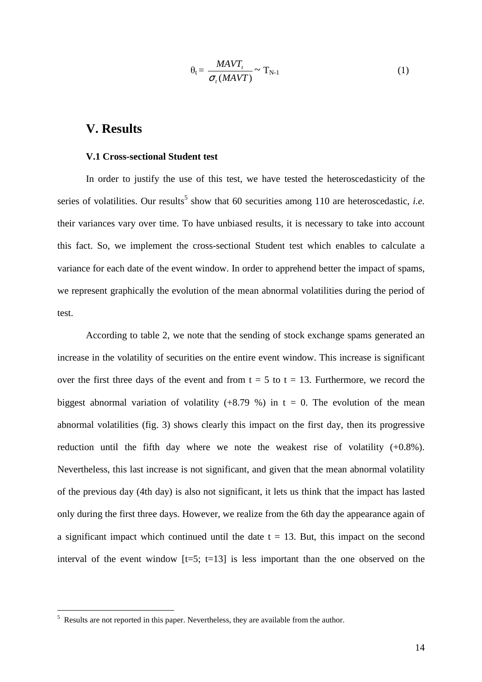$$
\theta_{t} = \frac{MAVT_t}{\sigma_t (MAVT)} \sim T_{N-1}
$$
\n(1)

## **V. Results**

#### **V.1 Cross-sectional Student test**

In order to justify the use of this test, we have tested the heteroscedasticity of the series of volatilities. Our results<sup>5</sup> show that 60 securities among 110 are heteroscedastic, *i.e.* their variances vary over time. To have unbiased results, it is necessary to take into account this fact. So, we implement the cross-sectional Student test which enables to calculate a variance for each date of the event window. In order to apprehend better the impact of spams, we represent graphically the evolution of the mean abnormal volatilities during the period of test.

According to table 2, we note that the sending of stock exchange spams generated an increase in the volatility of securities on the entire event window. This increase is significant over the first three days of the event and from  $t = 5$  to  $t = 13$ . Furthermore, we record the biggest abnormal variation of volatility  $(+8.79\%)$  in t = 0. The evolution of the mean abnormal volatilities (fig. 3) shows clearly this impact on the first day, then its progressive reduction until the fifth day where we note the weakest rise of volatility (+0.8%). Nevertheless, this last increase is not significant, and given that the mean abnormal volatility of the previous day (4th day) is also not significant, it lets us think that the impact has lasted only during the first three days. However, we realize from the 6th day the appearance again of a significant impact which continued until the date  $t = 13$ . But, this impact on the second interval of the event window  $[t=5; t=13]$  is less important than the one observed on the

<sup>&</sup>lt;sup>5</sup> Results are not reported in this paper. Nevertheless, they are available from the author.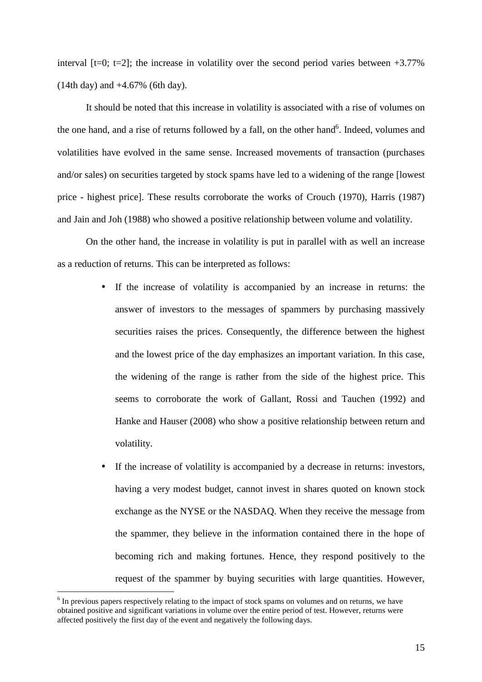interval  $[t=0; t=2]$ ; the increase in volatility over the second period varies between  $+3.77\%$ (14th day) and +4.67% (6th day).

It should be noted that this increase in volatility is associated with a rise of volumes on the one hand, and a rise of returns followed by a fall, on the other hand<sup>6</sup>. Indeed, volumes and volatilities have evolved in the same sense. Increased movements of transaction (purchases and/or sales) on securities targeted by stock spams have led to a widening of the range [lowest price - highest price]. These results corroborate the works of Crouch (1970), Harris (1987) and Jain and Joh (1988) who showed a positive relationship between volume and volatility.

On the other hand, the increase in volatility is put in parallel with as well an increase as a reduction of returns. This can be interpreted as follows:

- If the increase of volatility is accompanied by an increase in returns: the answer of investors to the messages of spammers by purchasing massively securities raises the prices. Consequently, the difference between the highest and the lowest price of the day emphasizes an important variation. In this case, the widening of the range is rather from the side of the highest price. This seems to corroborate the work of Gallant, Rossi and Tauchen (1992) and Hanke and Hauser (2008) who show a positive relationship between return and volatility.
- If the increase of volatility is accompanied by a decrease in returns: investors, having a very modest budget, cannot invest in shares quoted on known stock exchange as the NYSE or the NASDAQ. When they receive the message from the spammer, they believe in the information contained there in the hope of becoming rich and making fortunes. Hence, they respond positively to the request of the spammer by buying securities with large quantities. However,

 $\overline{a}$ 

<sup>&</sup>lt;sup>6</sup> In previous papers respectively relating to the impact of stock spams on volumes and on returns, we have obtained positive and significant variations in volume over the entire period of test. However, returns were affected positively the first day of the event and negatively the following days.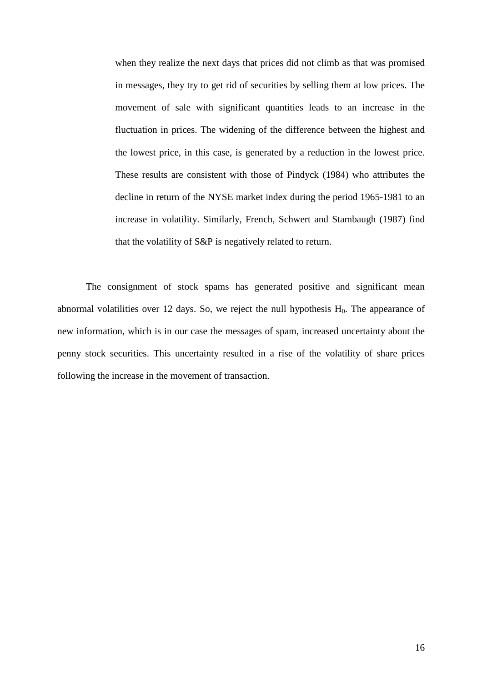when they realize the next days that prices did not climb as that was promised in messages, they try to get rid of securities by selling them at low prices. The movement of sale with significant quantities leads to an increase in the fluctuation in prices. The widening of the difference between the highest and the lowest price, in this case, is generated by a reduction in the lowest price. These results are consistent with those of Pindyck (1984) who attributes the decline in return of the NYSE market index during the period 1965-1981 to an increase in volatility. Similarly, French, Schwert and Stambaugh (1987) find that the volatility of S&P is negatively related to return.

The consignment of stock spams has generated positive and significant mean abnormal volatilities over 12 days. So, we reject the null hypothesis  $H_0$ . The appearance of new information, which is in our case the messages of spam, increased uncertainty about the penny stock securities. This uncertainty resulted in a rise of the volatility of share prices following the increase in the movement of transaction.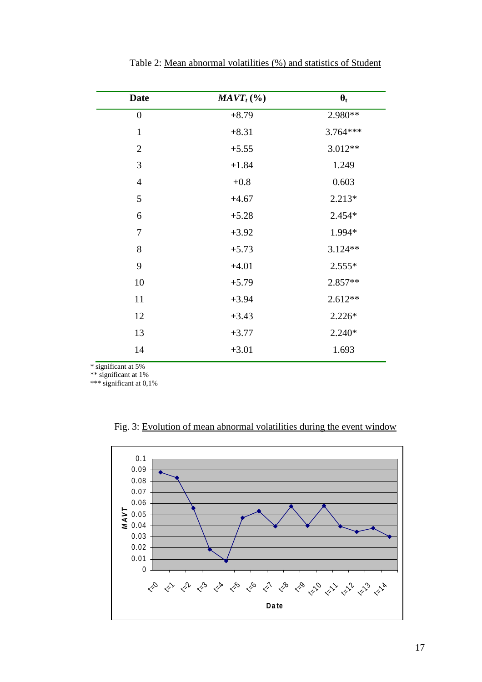| <b>Date</b>      | $MAVT_t$ (%) | $\theta_t$ |
|------------------|--------------|------------|
| $\boldsymbol{0}$ | $+8.79$      | 2.980**    |
| $\mathbf{1}$     | $+8.31$      | 3.764***   |
| $\overline{2}$   | $+5.55$      | 3.012**    |
| 3                | $+1.84$      | 1.249      |
| $\overline{4}$   | $+0.8$       | 0.603      |
| 5                | $+4.67$      | $2.213*$   |
| 6                | $+5.28$      | $2.454*$   |
| $\boldsymbol{7}$ | $+3.92$      | 1.994*     |
| 8                | $+5.73$      | $3.124**$  |
| 9                | $+4.01$      | $2.555*$   |
| 10               | $+5.79$      | 2.857**    |
| 11               | $+3.94$      | $2.612**$  |
| 12               | $+3.43$      | $2.226*$   |
| 13               | $+3.77$      | $2.240*$   |
| 14               | $+3.01$      | 1.693      |
|                  |              |            |

Table 2: Mean abnormal volatilities (%) and statistics of Student

\* significant at 5%

\*\* significant at 1%

\*\*\* significant at 0,1%

Fig. 3: Evolution of mean abnormal volatilities during the event window

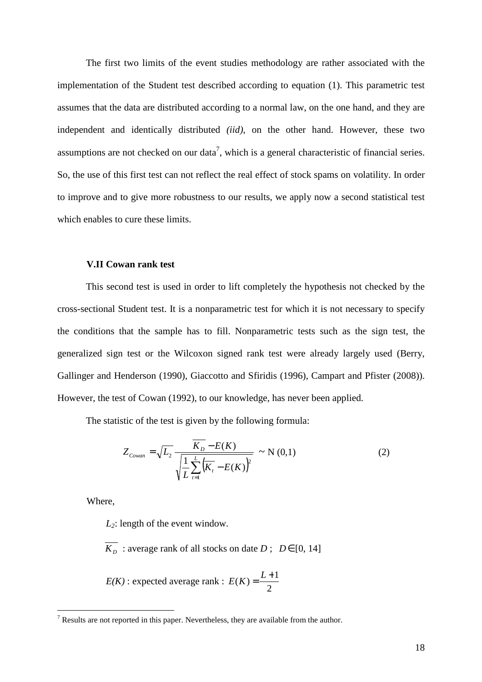The first two limits of the event studies methodology are rather associated with the implementation of the Student test described according to equation (1). This parametric test assumes that the data are distributed according to a normal law, on the one hand, and they are independent and identically distributed *(iid)*, on the other hand. However, these two assumptions are not checked on our data<sup>7</sup>, which is a general characteristic of financial series. So, the use of this first test can not reflect the real effect of stock spams on volatility. In order to improve and to give more robustness to our results, we apply now a second statistical test which enables to cure these limits.

#### **V.II Cowan rank test**

This second test is used in order to lift completely the hypothesis not checked by the cross-sectional Student test. It is a nonparametric test for which it is not necessary to specify the conditions that the sample has to fill. Nonparametric tests such as the sign test, the generalized sign test or the Wilcoxon signed rank test were already largely used (Berry, Gallinger and Henderson (1990), Giaccotto and Sfiridis (1996), Campart and Pfister (2008)). However, the test of Cowan (1992), to our knowledge, has never been applied.

The statistic of the test is given by the following formula:

$$
Z_{\text{Cowan}} = \sqrt{L_2} \frac{K_D - E(K)}{\sqrt{\frac{1}{L} \sum_{t=1}^{L} (K_t - E(K))^2}} \sim N(0,1)
$$
 (2)

Where,

*L2*: length of the event window.

*K*<sub>*D*</sub> : average rank of all stocks on date *D*;  $D \in [0, 14]$ 

 *E(K)* : expected average rank : 2  $E(K) = \frac{L+1}{2}$ 

<sup>&</sup>lt;sup>7</sup> Results are not reported in this paper. Nevertheless, they are available from the author.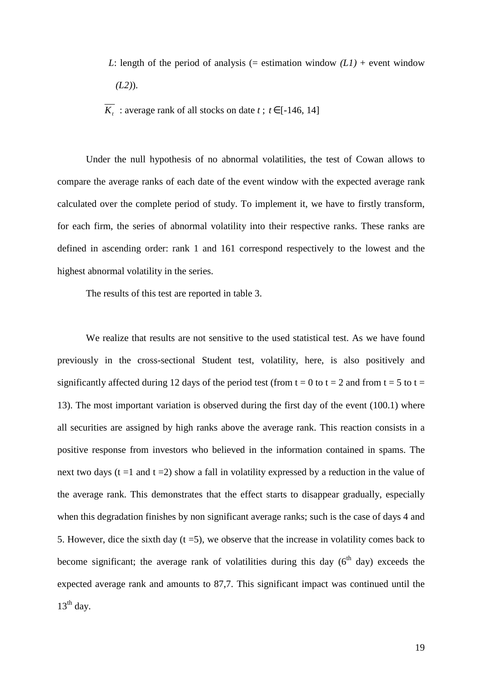- *L*: length of the period of analysis (= estimation window  $(LI)$  + event window *(L2)*).
- *K*<sub>t</sub>: average rank of all stocks on date *t*;  $t \in [-146, 14]$

Under the null hypothesis of no abnormal volatilities, the test of Cowan allows to compare the average ranks of each date of the event window with the expected average rank calculated over the complete period of study. To implement it, we have to firstly transform, for each firm, the series of abnormal volatility into their respective ranks. These ranks are defined in ascending order: rank 1 and 161 correspond respectively to the lowest and the highest abnormal volatility in the series.

The results of this test are reported in table 3.

We realize that results are not sensitive to the used statistical test. As we have found previously in the cross-sectional Student test, volatility, here, is also positively and significantly affected during 12 days of the period test (from  $t = 0$  to  $t = 2$  and from  $t = 5$  to  $t =$ 13). The most important variation is observed during the first day of the event (100.1) where all securities are assigned by high ranks above the average rank. This reaction consists in a positive response from investors who believed in the information contained in spams. The next two days ( $t = 1$  and  $t = 2$ ) show a fall in volatility expressed by a reduction in the value of the average rank. This demonstrates that the effect starts to disappear gradually, especially when this degradation finishes by non significant average ranks; such is the case of days 4 and 5. However, dice the sixth day  $(t = 5)$ , we observe that the increase in volatility comes back to become significant; the average rank of volatilities during this day  $(6<sup>th</sup>$  day) exceeds the expected average rank and amounts to 87,7. This significant impact was continued until the  $13<sup>th</sup>$  day.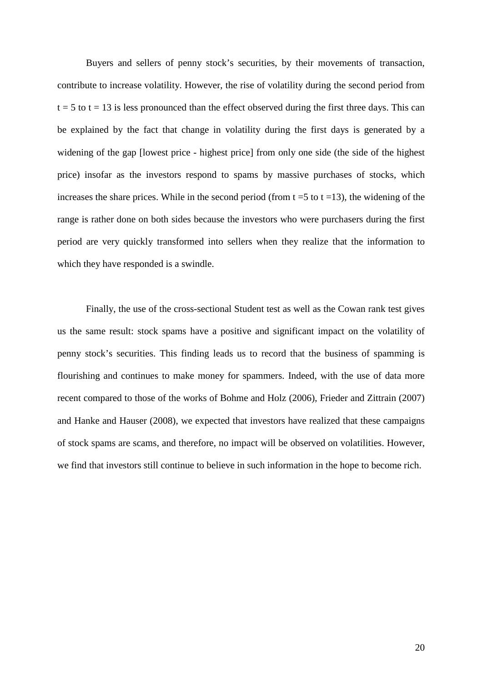Buyers and sellers of penny stock's securities, by their movements of transaction, contribute to increase volatility. However, the rise of volatility during the second period from  $t = 5$  to  $t = 13$  is less pronounced than the effect observed during the first three days. This can be explained by the fact that change in volatility during the first days is generated by a widening of the gap [lowest price - highest price] from only one side (the side of the highest price) insofar as the investors respond to spams by massive purchases of stocks, which increases the share prices. While in the second period (from  $t = 5$  to  $t = 13$ ), the widening of the range is rather done on both sides because the investors who were purchasers during the first period are very quickly transformed into sellers when they realize that the information to which they have responded is a swindle.

Finally, the use of the cross-sectional Student test as well as the Cowan rank test gives us the same result: stock spams have a positive and significant impact on the volatility of penny stock's securities. This finding leads us to record that the business of spamming is flourishing and continues to make money for spammers. Indeed, with the use of data more recent compared to those of the works of Bohme and Holz (2006), Frieder and Zittrain (2007) and Hanke and Hauser (2008), we expected that investors have realized that these campaigns of stock spams are scams, and therefore, no impact will be observed on volatilities. However, we find that investors still continue to believe in such information in the hope to become rich.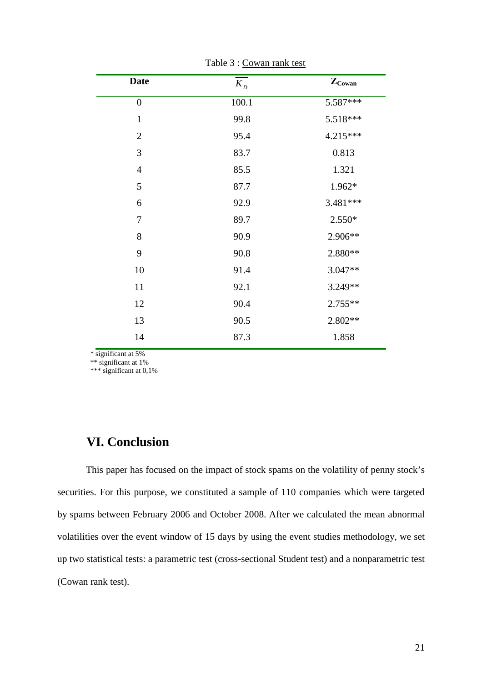| <b>Date</b>    | $K_{D}$ | $\mathbf{Z}_{\text{Cowan}}$ |
|----------------|---------|-----------------------------|
| $\overline{0}$ | 100.1   | 5.587***                    |
| $\mathbf{1}$   | 99.8    | 5.518***                    |
| $\overline{2}$ | 95.4    | 4.215***                    |
| 3              | 83.7    | 0.813                       |
| $\overline{4}$ | 85.5    | 1.321                       |
| 5              | 87.7    | 1.962*                      |
| 6              | 92.9    | 3.481***                    |
| $\tau$         | 89.7    | 2.550*                      |
| 8              | 90.9    | 2.906**                     |
| 9              | 90.8    | 2.880**                     |
| 10             | 91.4    | 3.047**                     |
| 11             | 92.1    | 3.249**                     |
| 12             | 90.4    | 2.755**                     |
| 13             | 90.5    | 2.802**                     |
| 14             | 87.3    | 1.858                       |

Table 3 : Cowan rank test

\* significant at 5%

\*\* significant at 1%

\*\*\* significant at 0,1%

## **VI. Conclusion**

This paper has focused on the impact of stock spams on the volatility of penny stock's securities. For this purpose, we constituted a sample of 110 companies which were targeted by spams between February 2006 and October 2008. After we calculated the mean abnormal volatilities over the event window of 15 days by using the event studies methodology, we set up two statistical tests: a parametric test (cross-sectional Student test) and a nonparametric test (Cowan rank test).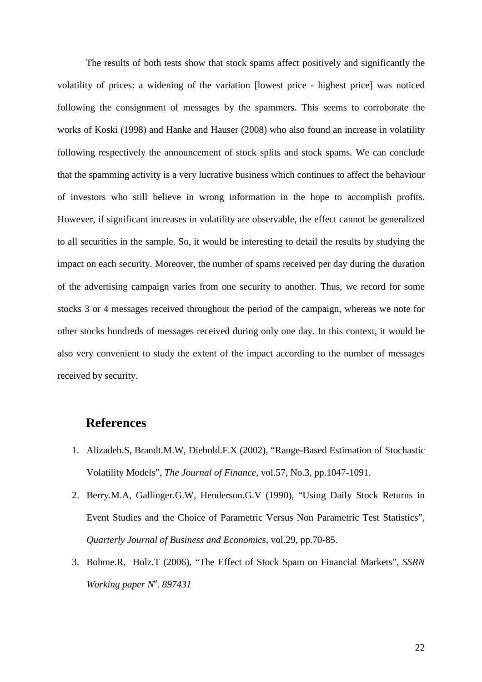The results of both tests show that stock spams affect positively and significantly the volatility of prices: a widening of the variation [lowest price - highest price] was noticed following the consignment of messages by the spammers. This seems to corroborate the works of Koski (1998) and Hanke and Hauser (2008) who also found an increase in volatility following respectively the announcement of stock splits and stock spams. We can conclude that the spamming activity is a very lucrative business which continues to affect the behaviour of investors who still believe in wrong information in the hope to accomplish profits. However, if significant increases in volatility are observable, the effect cannot be generalized to all securities in the sample. So, it would be interesting to detail the results by studying the impact on each security. Moreover, the number of spams received per day during the duration of the advertising campaign varies from one security to another. Thus, we record for some stocks 3 or 4 messages received throughout the period of the campaign, whereas we note for other stocks hundreds of messages received during only one day. In this context, it would be also very convenient to study the extent of the impact according to the number of messages received by security.

## **References**

- 1. Alizadeh.S, Brandt.M.W, Diebold.F.X (2002), "Range-Based Estimation of Stochastic Volatility Models", *The Journal of Finance,* vol.57, No.3, pp.1047-1091.
- 2. Berry.M.A, Gallinger.G.W, Henderson.G.V (1990), "Using Daily Stock Returns in Event Studies and the Choice of Parametric Versus Non Parametric Test Statistics", *Quarterly Journal of Business and Economics,* vol.29, pp.70-85.
- 3. Bohme.R, Holz.T (2006), "The Effect of Stock Spam on Financial Markets", *SSRN Working paper N<sup>o</sup> . 897431*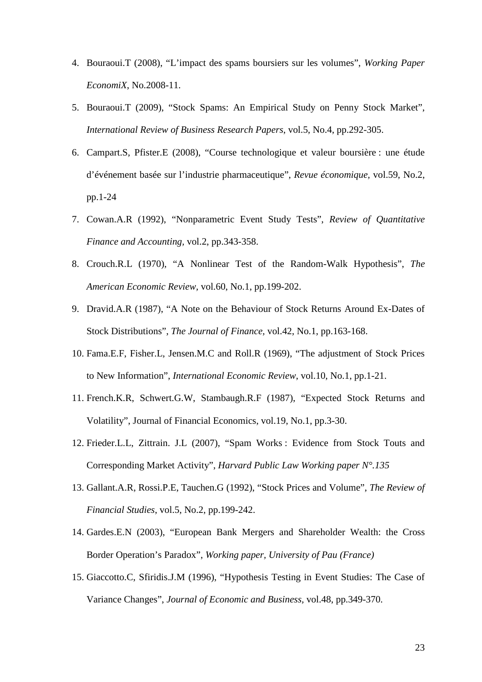- 4. Bouraoui.T (2008), "L'impact des spams boursiers sur les volumes", *Working Paper EconomiX*, No.2008-11.
- 5. Bouraoui.T (2009), "Stock Spams: An Empirical Study on Penny Stock Market", *International Review of Business Research Papers*, vol.5, No.4, pp.292-305.
- 6. Campart.S, Pfister.E (2008), "Course technologique et valeur boursière : une étude d'événement basée sur l'industrie pharmaceutique", *Revue économique,* vol.59, No.2, pp.1-24
- 7. Cowan.A.R (1992), "Nonparametric Event Study Tests", *Review of Quantitative Finance and Accounting,* vol.2, pp.343-358.
- 8. Crouch.R.L (1970), "A Nonlinear Test of the Random-Walk Hypothesis", *The American Economic Review,* vol.60, No.1, pp.199-202.
- 9. Dravid.A.R (1987), "A Note on the Behaviour of Stock Returns Around Ex-Dates of Stock Distributions", *The Journal of Finance,* vol.42, No.1, pp.163-168.
- 10. Fama.E.F, Fisher.L, Jensen.M.C and Roll.R (1969), "The adjustment of Stock Prices to New Information", *International Economic Review*, vol.10, No.1, pp.1-21.
- 11. French.K.R, Schwert.G.W, Stambaugh.R.F (1987), "Expected Stock Returns and Volatility", Journal of Financial Economics, vol.19, No.1, pp.3-30.
- 12. Frieder.L.L, Zittrain. J.L (2007), "Spam Works : Evidence from Stock Touts and Corresponding Market Activity", *Harvard Public Law Working paper N°.135*
- 13. Gallant.A.R, Rossi.P.E, Tauchen.G (1992), "Stock Prices and Volume", *The Review of Financial Studies*, vol.5, No.2, pp.199-242.
- 14. Gardes.E.N (2003), "European Bank Mergers and Shareholder Wealth: the Cross Border Operation's Paradox", *Working paper, University of Pau (France)*
- 15. Giaccotto.C, Sfiridis.J.M (1996), "Hypothesis Testing in Event Studies: The Case of Variance Changes", *Journal of Economic and Business,* vol.48, pp.349-370.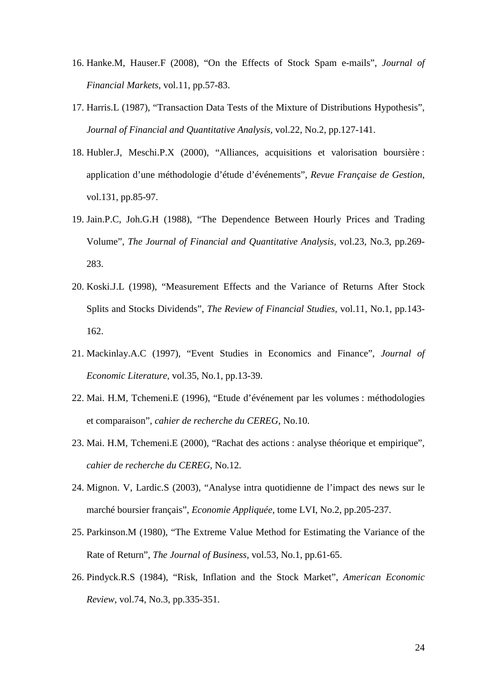- 16. Hanke.M, Hauser.F (2008), "On the Effects of Stock Spam e-mails", *Journal of Financial Markets*, vol.11, pp.57-83.
- 17. Harris.L (1987), "Transaction Data Tests of the Mixture of Distributions Hypothesis", *Journal of Financial and Quantitative Analysis,* vol.22, No.2, pp.127-141.
- 18. Hubler.J, Meschi.P.X (2000), "Alliances, acquisitions et valorisation boursière : application d'une méthodologie d'étude d'événements", *Revue Française de Gestion*, vol.131, pp.85-97.
- 19. Jain.P.C, Joh.G.H (1988), "The Dependence Between Hourly Prices and Trading Volume", *The Journal of Financial and Quantitative Analysis,* vol.23, No.3, pp.269- 283.
- 20. Koski.J.L (1998), "Measurement Effects and the Variance of Returns After Stock Splits and Stocks Dividends", *The Review of Financial Studies,* vol.11, No.1, pp.143- 162.
- 21. Mackinlay.A.C (1997), "Event Studies in Economics and Finance", *Journal of Economic Literature*, vol.35, No.1, pp.13-39.
- 22. Mai. H.M, Tchemeni.E (1996), "Etude d'événement par les volumes : méthodologies et comparaison", *cahier de recherche du CEREG*, No.10.
- 23. Mai. H.M, Tchemeni.E (2000), "Rachat des actions : analyse théorique et empirique", *cahier de recherche du CEREG*, No.12.
- 24. Mignon. V, Lardic.S (2003), "Analyse intra quotidienne de l'impact des news sur le marché boursier français", *Economie Appliquée*, tome LVI, No.2, pp.205-237.
- 25. Parkinson.M (1980), "The Extreme Value Method for Estimating the Variance of the Rate of Return", *The Journal of Business,* vol.53, No.1, pp.61-65.
- 26. Pindyck.R.S (1984), "Risk, Inflation and the Stock Market", *American Economic Review*, vol.74, No.3, pp.335-351.